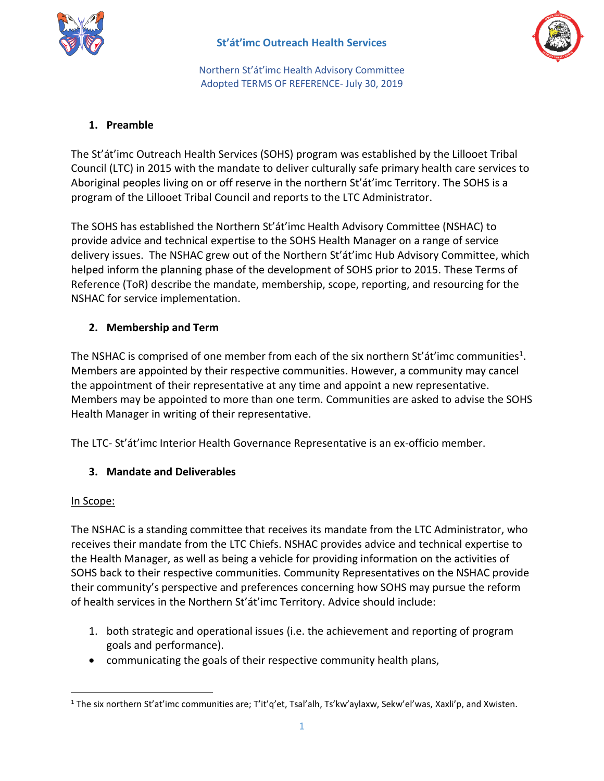



Northern St'át'imc Health Advisory Committee Adopted TERMS OF REFERENCE- July 30, 2019

# **1. Preamble**

The St'át'imc Outreach Health Services (SOHS) program was established by the Lillooet Tribal Council (LTC) in 2015 with the mandate to deliver culturally safe primary health care services to Aboriginal peoples living on or off reserve in the northern St'át'imc Territory. The SOHS is a program of the Lillooet Tribal Council and reports to the LTC Administrator.

The SOHS has established the Northern St'át'imc Health Advisory Committee (NSHAC) to provide advice and technical expertise to the SOHS Health Manager on a range of service delivery issues. The NSHAC grew out of the Northern St'át'imc Hub Advisory Committee, which helped inform the planning phase of the development of SOHS prior to 2015. These Terms of Reference (ToR) describe the mandate, membership, scope, reporting, and resourcing for the NSHAC for service implementation.

## **2. Membership and Term**

The NSHAC is comprised of one member from each of the six northern St'át'imc communities<sup>1</sup>. Members are appointed by their respective communities. However, a community may cancel the appointment of their representative at any time and appoint a new representative. Members may be appointed to more than one term. Communities are asked to advise the SOHS Health Manager in writing of their representative.

The LTC- St'át'imc Interior Health Governance Representative is an ex-officio member.

# **3. Mandate and Deliverables**

## In Scope:

 $\overline{\phantom{a}}$ 

The NSHAC is a standing committee that receives its mandate from the LTC Administrator, who receives their mandate from the LTC Chiefs. NSHAC provides advice and technical expertise to the Health Manager, as well as being a vehicle for providing information on the activities of SOHS back to their respective communities. Community Representatives on the NSHAC provide their community's perspective and preferences concerning how SOHS may pursue the reform of health services in the Northern St'át'imc Territory. Advice should include:

- 1. both strategic and operational issues (i.e. the achievement and reporting of program goals and performance).
- communicating the goals of their respective community health plans,

<sup>&</sup>lt;sup>1</sup> The six northern St'at'imc communities are; T'it'q'et, Tsal'alh, Ts'kw'aylaxw, Sekw'el'was, Xaxli'p, and Xwisten.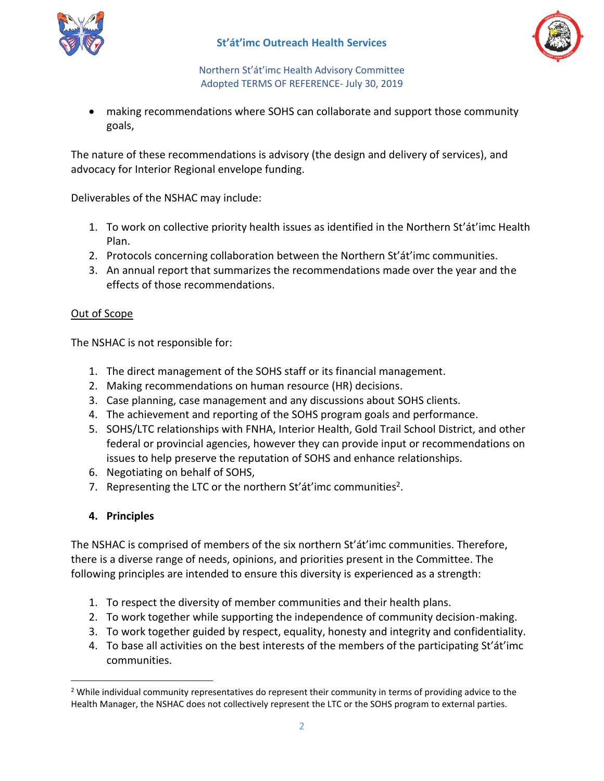



Northern St'át'imc Health Advisory Committee Adopted TERMS OF REFERENCE- July 30, 2019

 making recommendations where SOHS can collaborate and support those community goals,

The nature of these recommendations is advisory (the design and delivery of services), and advocacy for Interior Regional envelope funding.

Deliverables of the NSHAC may include:

- 1. To work on collective priority health issues as identified in the Northern St'át'imc Health Plan.
- 2. Protocols concerning collaboration between the Northern St'át'imc communities.
- 3. An annual report that summarizes the recommendations made over the year and the effects of those recommendations.

## Out of Scope

The NSHAC is not responsible for:

- 1. The direct management of the SOHS staff or its financial management.
- 2. Making recommendations on human resource (HR) decisions.
- 3. Case planning, case management and any discussions about SOHS clients.
- 4. The achievement and reporting of the SOHS program goals and performance.
- 5. SOHS/LTC relationships with FNHA, Interior Health, Gold Trail School District, and other federal or provincial agencies, however they can provide input or recommendations on issues to help preserve the reputation of SOHS and enhance relationships.
- 6. Negotiating on behalf of SOHS,
- 7. Representing the LTC or the northern St'at'imc communities<sup>2</sup>.

# **4. Principles**

The NSHAC is comprised of members of the six northern St'át'imc communities. Therefore, there is a diverse range of needs, opinions, and priorities present in the Committee. The following principles are intended to ensure this diversity is experienced as a strength:

- 1. To respect the diversity of member communities and their health plans.
- 2. To work together while supporting the independence of community decision-making.
- 3. To work together guided by respect, equality, honesty and integrity and confidentiality.
- 4. To base all activities on the best interests of the members of the participating St'át'imc communities.

l <sup>2</sup> While individual community representatives do represent their community in terms of providing advice to the Health Manager, the NSHAC does not collectively represent the LTC or the SOHS program to external parties.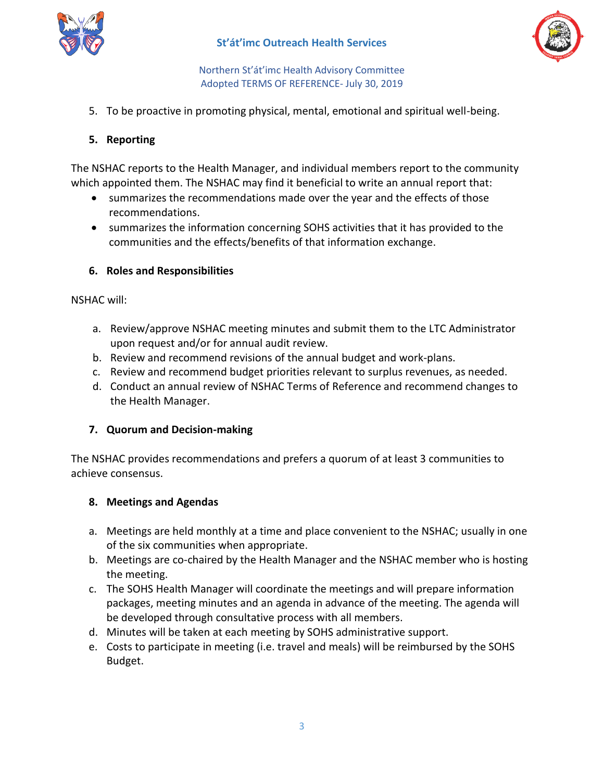



Northern St'át'imc Health Advisory Committee Adopted TERMS OF REFERENCE- July 30, 2019

5. To be proactive in promoting physical, mental, emotional and spiritual well-being.

## **5. Reporting**

The NSHAC reports to the Health Manager, and individual members report to the community which appointed them. The NSHAC may find it beneficial to write an annual report that:

- summarizes the recommendations made over the year and the effects of those recommendations.
- summarizes the information concerning SOHS activities that it has provided to the communities and the effects/benefits of that information exchange.

### **6. Roles and Responsibilities**

#### NSHAC will:

- a. Review/approve NSHAC meeting minutes and submit them to the LTC Administrator upon request and/or for annual audit review.
- b. Review and recommend revisions of the annual budget and work-plans.
- c. Review and recommend budget priorities relevant to surplus revenues, as needed.
- d. Conduct an annual review of NSHAC Terms of Reference and recommend changes to the Health Manager.

#### **7. Quorum and Decision-making**

The NSHAC provides recommendations and prefers a quorum of at least 3 communities to achieve consensus.

#### **8. Meetings and Agendas**

- a. Meetings are held monthly at a time and place convenient to the NSHAC; usually in one of the six communities when appropriate.
- b. Meetings are co-chaired by the Health Manager and the NSHAC member who is hosting the meeting.
- c. The SOHS Health Manager will coordinate the meetings and will prepare information packages, meeting minutes and an agenda in advance of the meeting. The agenda will be developed through consultative process with all members.
- d. Minutes will be taken at each meeting by SOHS administrative support.
- e. Costs to participate in meeting (i.e. travel and meals) will be reimbursed by the SOHS Budget.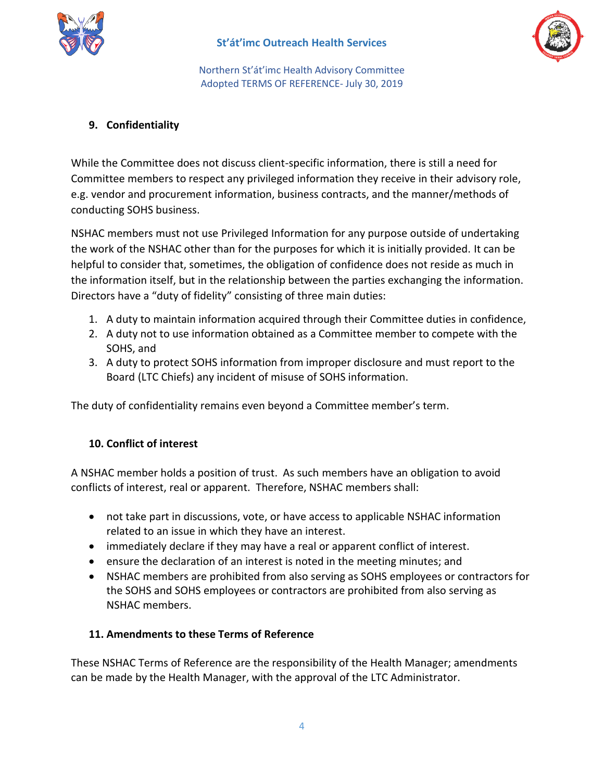

## **St'át'imc Outreach Health Services**



Northern St'át'imc Health Advisory Committee Adopted TERMS OF REFERENCE- July 30, 2019

## **9. Confidentiality**

While the Committee does not discuss client-specific information, there is still a need for Committee members to respect any privileged information they receive in their advisory role, e.g. vendor and procurement information, business contracts, and the manner/methods of conducting SOHS business.

NSHAC members must not use Privileged Information for any purpose outside of undertaking the work of the NSHAC other than for the purposes for which it is initially provided. It can be helpful to consider that, sometimes, the obligation of confidence does not reside as much in the information itself, but in the relationship between the parties exchanging the information. Directors have a "duty of fidelity" consisting of three main duties:

- 1. A duty to maintain information acquired through their Committee duties in confidence,
- 2. A duty not to use information obtained as a Committee member to compete with the SOHS, and
- 3. A duty to protect SOHS information from improper disclosure and must report to the Board (LTC Chiefs) any incident of misuse of SOHS information.

The duty of confidentiality remains even beyond a Committee member's term.

## **10. Conflict of interest**

A NSHAC member holds a position of trust. As such members have an obligation to avoid conflicts of interest, real or apparent. Therefore, NSHAC members shall:

- not take part in discussions, vote, or have access to applicable NSHAC information related to an issue in which they have an interest.
- immediately declare if they may have a real or apparent conflict of interest.
- ensure the declaration of an interest is noted in the meeting minutes; and
- NSHAC members are prohibited from also serving as SOHS employees or contractors for the SOHS and SOHS employees or contractors are prohibited from also serving as NSHAC members.

### **11. Amendments to these Terms of Reference**

These NSHAC Terms of Reference are the responsibility of the Health Manager; amendments can be made by the Health Manager, with the approval of the LTC Administrator.